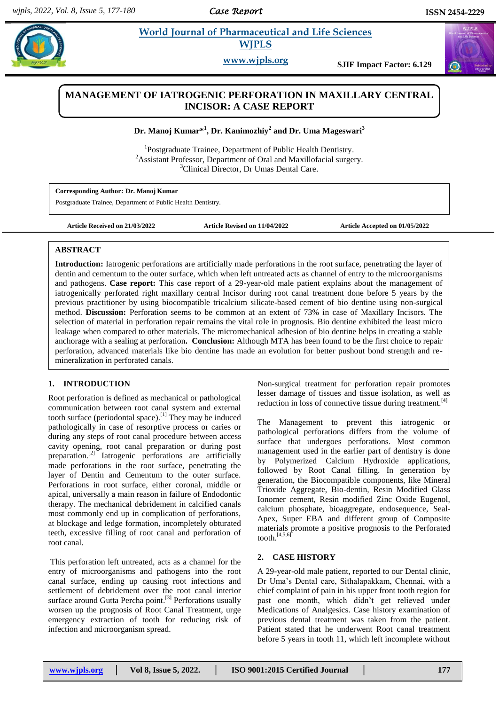*Case Report* 

# **Paramonical** *E* **Morld Journal of Pharmaceutical and Life Sciences <b>All Apple 2014 WJPLS**

**www.wjpls.org SJIF Impact Factor: 6.129**



# **MANAGEMENT OF IATROGENIC PERFORATION IN MAXILLARY CENTRAL INCISOR: A CASE REPORT**

**Dr. Manoj Kumar\* 1 , Dr. Kanimozhiy<sup>2</sup> and Dr. Uma Mageswari<sup>3</sup>**

<sup>1</sup>Postgraduate Trainee, Department of Public Health Dentistry. <sup>2</sup> Assistant Professor, Department of Oral and Maxillofacial surgery. <sup>3</sup>Clinical Director, Dr Umas Dental Care.

**Corresponding Author: Dr. Manoj Kumar** Postgraduate Trainee, Department of Public Health Dentistry.

**Article Received on 21/03/2022 Article Revised on 11/04/2022 Article Accepted on 01/05/2022**

### **ABSTRACT**

**Introduction:** Iatrogenic perforations are artificially made perforations in the root surface, penetrating the layer of dentin and cementum to the outer surface, which when left untreated acts as channel of entry to the microorganisms and pathogens. **Case report:** This case report of a 29-year-old male patient explains about the management of iatrogenically perforated right maxillary central Incisor during root canal treatment done before 5 years by the previous practitioner by using biocompatible tricalcium silicate-based cement of bio dentine using non-surgical method. **Discussion:** Perforation seems to be common at an extent of 73% in case of Maxillary Incisors. The selection of material in perforation repair remains the vital role in prognosis. Bio dentine exhibited the least micro leakage when compared to other materials. The micromechanical adhesion of bio dentine helps in creating a stable anchorage with a sealing at perforation**. Conclusion:** Although MTA has been found to be the first choice to repair perforation, advanced materials like bio dentine has made an evolution for better pushout bond strength and remineralization in perforated canals.

## **1. INTRODUCTION**

Root perforation is defined as mechanical or pathological communication between root canal system and external tooth surface (periodontal space).<sup>[1]</sup> They may be induced pathologically in case of resorptive process or caries or during any steps of root canal procedure between access cavity opening, root canal preparation or during post preparation. [2] Iatrogenic perforations are artificially made perforations in the root surface, penetrating the layer of Dentin and Cementum to the outer surface. Perforations in root surface, either coronal, middle or apical, universally a main reason in failure of Endodontic therapy. The mechanical debridement in calcified canals most commonly end up in complication of perforations, at blockage and ledge formation, incompletely obturated teeth, excessive filling of root canal and perforation of root canal.

This perforation left untreated, acts as a channel for the entry of microorganisms and pathogens into the root canal surface, ending up causing root infections and settlement of debridement over the root canal interior surface around Gutta Percha point.<sup>[3]</sup> Perforations usually worsen up the prognosis of Root Canal Treatment, urge emergency extraction of tooth for reducing risk of infection and microorganism spread.

Non-surgical treatment for perforation repair promotes lesser damage of tissues and tissue isolation, as well as reduction in loss of connective tissue during treatment.<sup>[4]</sup>

The Management to prevent this iatrogenic or pathological perforations differs from the volume of surface that undergoes perforations. Most common management used in the earlier part of dentistry is done by Polymerized Calcium Hydroxide applications, followed by Root Canal filling. In generation by generation, the Biocompatible components, like Mineral Trioxide Aggregate, Bio-dentin, Resin Modified Glass Ionomer cement, Resin modified Zinc Oxide Eugenol, calcium phosphate, bioaggregate, endosequence, Seal-Apex, Super EBA and different group of Composite materials promote a positive prognosis to the Perforated tooth.[4,5,6]

## **2. CASE HISTORY**

A 29-year-old male patient, reported to our Dental clinic, Dr Uma's Dental care, Sithalapakkam, Chennai, with a chief complaint of pain in his upper front tooth region for past one month, which didn't get relieved under Medications of Analgesics. Case history examination of previous dental treatment was taken from the patient. Patient stated that he underwent Root canal treatment before 5 years in tooth 11, which left incomplete without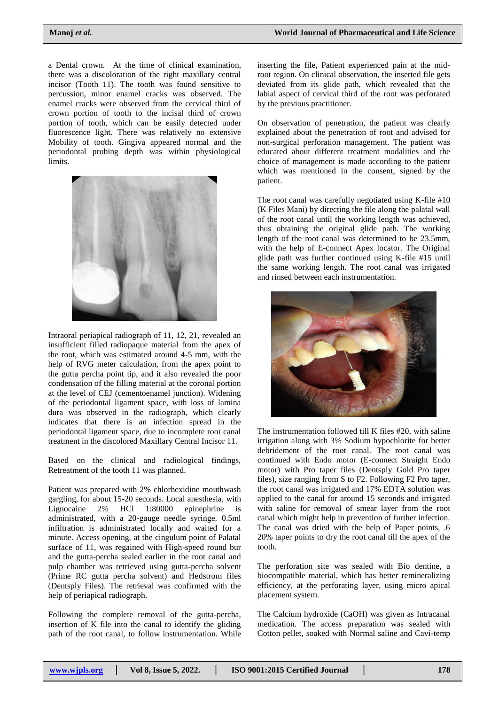a Dental crown. At the time of clinical examination, there was a discoloration of the right maxillary central incisor (Tooth 11). The tooth was found sensitive to percussion, minor enamel cracks was observed. The enamel cracks were observed from the cervical third of crown portion of tooth to the incisal third of crown portion of tooth, which can be easily detected under fluorescence light. There was relatively no extensive Mobility of tooth. Gingiva appeared normal and the periodontal probing depth was within physiological limits.



Intraoral periapical radiograph of 11, 12, 21, revealed an insufficient filled radiopaque material from the apex of the root, which was estimated around 4-5 mm, with the help of RVG meter calculation, from the apex point to the gutta percha point tip, and it also revealed the poor condensation of the filling material at the coronal portion at the level of CEJ (cementoenamel junction). Widening of the periodontal ligament space, with loss of lamina dura was observed in the radiograph, which clearly indicates that there is an infection spread in the periodontal ligament space, due to incomplete root canal treatment in the discolored Maxillary Central Incisor 11.

Based on the clinical and radiological findings, Retreatment of the tooth 11 was planned.

Patient was prepared with 2% chlorhexidine mouthwash gargling, for about 15-20 seconds. Local anesthesia, with<br>Lignocaine 2% HCl 1:80000 epinephrine is Lignocaine 2% HCl 1:80000 epinephrine is administrated, with a 20-gauge needle syringe. 0.5ml infiltration is administrated locally and waited for a minute. Access opening, at the cingulum point of Palatal surface of 11, was regained with High-speed round bur and the gutta-percha sealed earlier in the root canal and pulp chamber was retrieved using gutta-percha solvent (Prime RC gutta percha solvent) and Hedstrom files (Dentsply Files). The retrieval was confirmed with the help of periapical radiograph.

Following the complete removal of the gutta-percha, insertion of K file into the canal to identify the gliding path of the root canal, to follow instrumentation. While

inserting the file, Patient experienced pain at the midroot region. On clinical observation, the inserted file gets deviated from its glide path, which revealed that the labial aspect of cervical third of the root was perforated by the previous practitioner.

On observation of penetration, the patient was clearly explained about the penetration of root and advised for non-surgical perforation management. The patient was educated about different treatment modalities and the choice of management is made according to the patient which was mentioned in the consent, signed by the patient.

The root canal was carefully negotiated using K-file #10 (K Files Mani) by directing the file along the palatal wall of the root canal until the working length was achieved, thus obtaining the original glide path. The working length of the root canal was determined to be 23.5mm, with the help of E-connect Apex locator. The Original glide path was further continued using K-file #15 until the same working length. The root canal was irrigated and rinsed between each instrumentation.



The instrumentation followed till K files #20, with saline irrigation along with 3% Sodium hypochlorite for better debridement of the root canal. The root canal was continued with Endo motor (E-connect Straight Endo motor) with Pro taper files (Dentsply Gold Pro taper files), size ranging from S to F2. Following F2 Pro taper, the root canal was irrigated and 17% EDTA solution was applied to the canal for around 15 seconds and irrigated with saline for removal of smear layer from the root canal which might help in prevention of further infection. The canal was dried with the help of Paper points, .6 20% taper points to dry the root canal till the apex of the tooth.

The perforation site was sealed with Bio dentine, a biocompatible material, which has better remineralizing efficiency, at the perforating layer, using micro apical placement system.

The Calcium hydroxide (CaOH) was given as Intracanal medication. The access preparation was sealed with Cotton pellet, soaked with Normal saline and Cavi-temp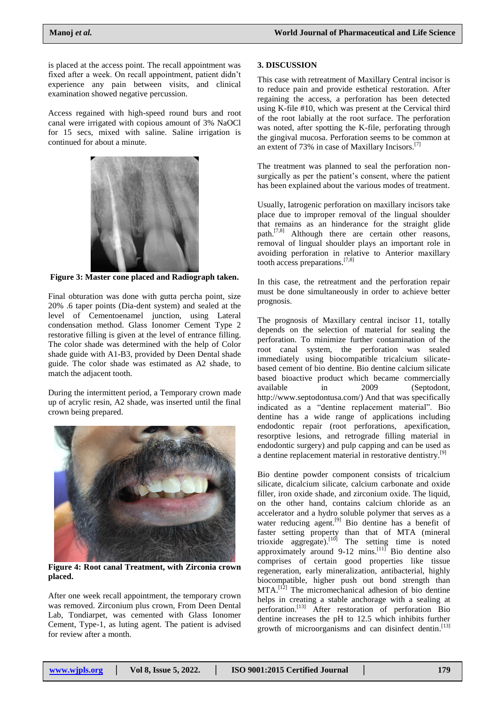is placed at the access point. The recall appointment was fixed after a week. On recall appointment, patient didn't experience any pain between visits, and clinical examination showed negative percussion.

Access regained with high-speed round burs and root canal were irrigated with copious amount of 3% NaOCl for 15 secs, mixed with saline. Saline irrigation is continued for about a minute.



**Figure 3: Master cone placed and Radiograph taken.**

Final obturation was done with gutta percha point, size 20% .6 taper points (Dia-dent system) and sealed at the level of Cementoenamel junction, using Lateral condensation method. Glass Ionomer Cement Type 2 restorative filling is given at the level of entrance filling. The color shade was determined with the help of Color shade guide with A1-B3, provided by Deen Dental shade guide. The color shade was estimated as A2 shade, to match the adjacent tooth.

During the intermittent period, a Temporary crown made up of acrylic resin, A2 shade, was inserted until the final crown being prepared.



**Figure 4: Root canal Treatment, with Zirconia crown placed.**

After one week recall appointment, the temporary crown was removed. Zirconium plus crown, From Deen Dental Lab, Tondiarpet, was cemented with Glass Ionomer Cement, Type-1, as luting agent. The patient is advised for review after a month.

#### **3. DISCUSSION**

This case with retreatment of Maxillary Central incisor is to reduce pain and provide esthetical restoration. After regaining the access, a perforation has been detected using K-file #10, which was present at the Cervical third of the root labially at the root surface. The perforation was noted, after spotting the K-file, perforating through the gingival mucosa. Perforation seems to be common at an extent of 73% in case of Maxillary Incisors.<sup>[7]</sup>

The treatment was planned to seal the perforation nonsurgically as per the patient's consent, where the patient has been explained about the various modes of treatment.

Usually, Iatrogenic perforation on maxillary incisors take place due to improper removal of the lingual shoulder that remains as an hinderance for the straight glide path.[7,8] Although there are certain other reasons, removal of lingual shoulder plays an important role in avoiding perforation in relative to Anterior maxillary tooth access preparations.[7,8]

In this case, the retreatment and the perforation repair must be done simultaneously in order to achieve better prognosis.

The prognosis of Maxillary central incisor 11, totally depends on the selection of material for sealing the perforation. To minimize further contamination of the root canal system, the perforation was sealed immediately using biocompatible tricalcium silicatebased cement of bio dentine. Bio dentine calcium silicate based bioactive product which became commercially available in 2009 (Septodont, [http://www.septodontusa.com/\)](http://www.septodontusa.com/) And that was specifically indicated as a "dentine replacement material". Bio dentine has a wide range of applications including endodontic repair (root perforations, apexification, resorptive lesions, and retrograde filling material in endodontic surgery) and pulp capping and can be used as a dentine replacement material in restorative dentistry.<sup>[9]</sup>

Bio dentine powder component consists of tricalcium silicate, dicalcium silicate, calcium carbonate and oxide filler, iron oxide shade, and zirconium oxide. The liquid, on the other hand, contains calcium chloride as an accelerator and a hydro soluble polymer that serves as a water reducing agent.<sup>[9]</sup> Bio dentine has a benefit of faster setting property than that of MTA (mineral trioxide aggregate).<sup>[10]</sup> The setting time is noted approximately around  $9-12$  mins.<sup>[11]</sup> Bio dentine also comprises of certain good properties like tissue regeneration, early mineralization, antibacterial, highly biocompatible, higher push out bond strength than MTA.[12] The micromechanical adhesion of bio dentine helps in creating a stable anchorage with a sealing at perforation.[13] After restoration of perforation Bio dentine increases the pH to 12.5 which inhibits further growth of microorganisms and can disinfect dentin. [13]